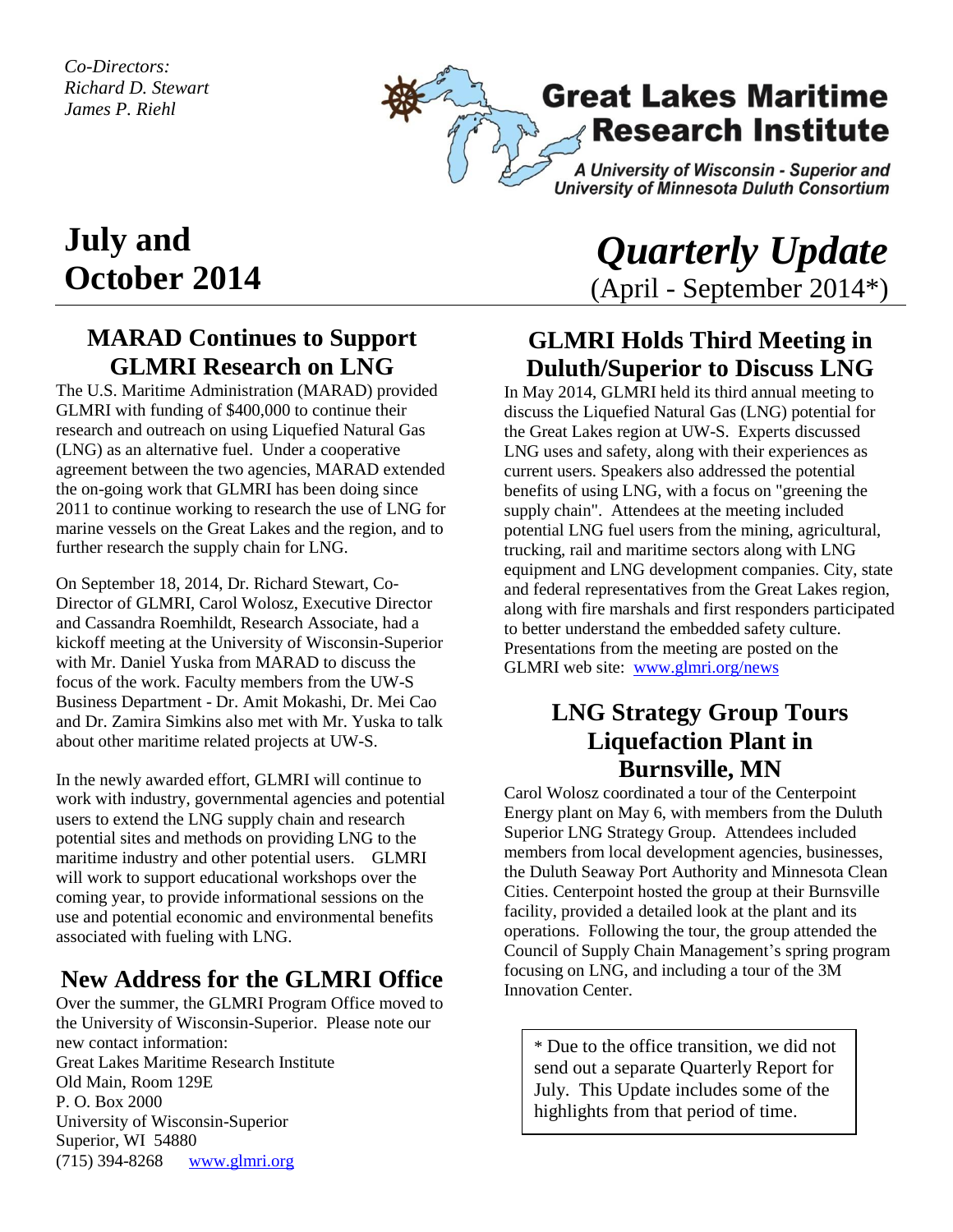*Co-Directors: Richard D. Stewart James P. Riehl*



# **July and October 2014**

#### **MARAD Continues to Support GLMRI Research on LNG**

The U.S. Maritime Administration (MARAD) provided GLMRI with funding of \$400,000 to continue their research and outreach on using Liquefied Natural Gas (LNG) as an alternative fuel. Under a cooperative agreement between the two agencies, MARAD extended the on-going work that GLMRI has been doing since 2011 to continue working to research the use of LNG for marine vessels on the Great Lakes and the region, and to further research the supply chain for LNG.

On September 18, 2014, Dr. Richard Stewart, Co-Director of GLMRI, Carol Wolosz, Executive Director and Cassandra Roemhildt, Research Associate, had a kickoff meeting at the University of Wisconsin-Superior with Mr. Daniel Yuska from MARAD to discuss the focus of the work. Faculty members from the UW-S Business Department - Dr. Amit Mokashi, Dr. Mei Cao and Dr. Zamira Simkins also met with Mr. Yuska to talk about other maritime related projects at UW-S.

In the newly awarded effort, GLMRI will continue to work with industry, governmental agencies and potential users to extend the LNG supply chain and research potential sites and methods on providing LNG to the maritime industry and other potential users. GLMRI will work to support educational workshops over the coming year, to provide informational sessions on the use and potential economic and environmental benefits associated with fueling with LNG.

### **New Address for the GLMRI Office**

Over the summer, the GLMRI Program Office moved to the University of Wisconsin-Superior. Please note our new contact information: Great Lakes Maritime Research Institute Old Main, Room 129E P. O. Box 2000 University of Wisconsin-Superior Superior, WI 54880 (715) 394-8268 [www.glmri.org](http://www.glmri.org/)

# *Quarterly Update*  (April - September 2014\*)

### **GLMRI Holds Third Meeting in Duluth/Superior to Discuss LNG**

In May 2014, GLMRI held its third annual meeting to discuss the Liquefied Natural Gas (LNG) potential for the Great Lakes region at UW-S. Experts discussed LNG uses and safety, along with their experiences as current users. Speakers also addressed the potential benefits of using LNG, with a focus on "greening the supply chain". Attendees at the meeting included potential LNG fuel users from the mining, agricultural, trucking, rail and maritime sectors along with LNG equipment and LNG development companies. City, state and federal representatives from the Great Lakes region, along with fire marshals and first responders participated to better understand the embedded safety culture. Presentations from the meeting are posted on the GLMRI web site: [www.glmri.org/news](http://www.glmri.org/news)

#### **LNG Strategy Group Tours Liquefaction Plant in Burnsville, MN**

Carol Wolosz coordinated a tour of the Centerpoint Energy plant on May 6, with members from the Duluth Superior LNG Strategy Group. Attendees included members from local development agencies, businesses, the Duluth Seaway Port Authority and Minnesota Clean Cities. Centerpoint hosted the group at their Burnsville facility, provided a detailed look at the plant and its operations. Following the tour, the group attended the Council of Supply Chain Management's spring program focusing on LNG, and including a tour of the 3M Innovation Center.

\* Due to the office transition, we did not send out a separate Quarterly Report for July. This Update includes some of the highlights from that period of time.